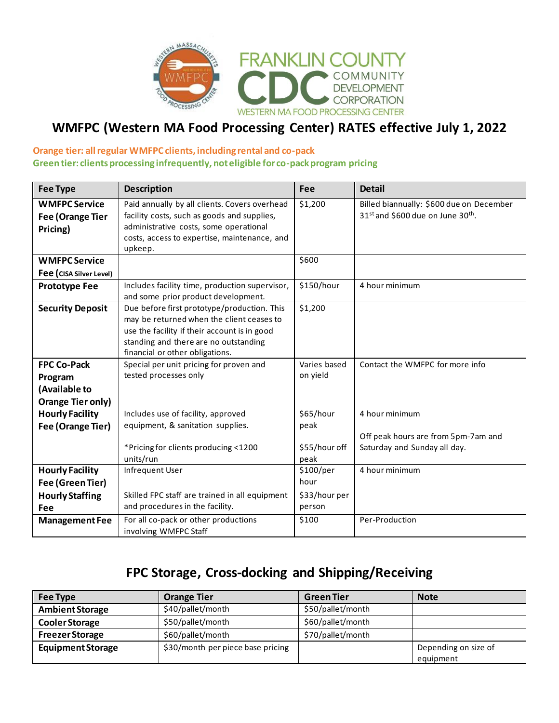

## **WMFPC (Western MA Food Processing Center) RATES effective July 1, 2022**

### **Orange tier: all regular WMFPC clients, including rental and co-pack Green tier: clients processing infrequently, not eligible for co-pack program pricing**

| <b>Fee Type</b>                                                            | <b>Description</b>                                                                                                                                                                                                   | Fee                                        | <b>Detail</b>                                                                                         |
|----------------------------------------------------------------------------|----------------------------------------------------------------------------------------------------------------------------------------------------------------------------------------------------------------------|--------------------------------------------|-------------------------------------------------------------------------------------------------------|
| <b>WMFPC Service</b><br>Fee (Orange Tier<br>Pricing)                       | Paid annually by all clients. Covers overhead<br>facility costs, such as goods and supplies,<br>administrative costs, some operational<br>costs, access to expertise, maintenance, and<br>upkeep.                    | \$1,200                                    | Billed biannually: \$600 due on December<br>31 <sup>st</sup> and \$600 due on June 30 <sup>th</sup> . |
| <b>WMFPC Service</b>                                                       |                                                                                                                                                                                                                      | \$600                                      |                                                                                                       |
| Fee (CISA Silver Level)                                                    |                                                                                                                                                                                                                      |                                            |                                                                                                       |
| <b>Prototype Fee</b>                                                       | Includes facility time, production supervisor,<br>and some prior product development.                                                                                                                                | \$150/hour                                 | 4 hour minimum                                                                                        |
| <b>Security Deposit</b>                                                    | Due before first prototype/production. This<br>may be returned when the client ceases to<br>use the facility if their account is in good<br>standing and there are no outstanding<br>financial or other obligations. | \$1,200                                    |                                                                                                       |
| <b>FPC Co-Pack</b><br>Program<br>(Available to<br><b>Orange Tier only)</b> | Special per unit pricing for proven and<br>tested processes only                                                                                                                                                     | Varies based<br>on yield                   | Contact the WMFPC for more info                                                                       |
| <b>Hourly Facility</b><br>Fee (Orange Tier)                                | Includes use of facility, approved<br>equipment, & sanitation supplies.<br>*Pricing for clients producing <1200<br>units/run                                                                                         | \$65/hour<br>peak<br>\$55/hour off<br>peak | 4 hour minimum<br>Off peak hours are from 5pm-7am and<br>Saturday and Sunday all day.                 |
| <b>Hourly Facility</b><br>Fee (Green Tier)                                 | Infrequent User                                                                                                                                                                                                      | \$100/per<br>hour                          | 4 hour minimum                                                                                        |
| <b>Hourly Staffing</b><br>Fee                                              | Skilled FPC staff are trained in all equipment<br>and procedures in the facility.                                                                                                                                    | \$33/hour per<br>person                    |                                                                                                       |
| <b>Management Fee</b>                                                      | For all co-pack or other productions<br>involving WMFPC Staff                                                                                                                                                        | \$100                                      | Per-Production                                                                                        |

## **FPC Storage, Cross-docking and Shipping/Receiving**

| Fee Type                 | <b>Orange Tier</b>                | <b>Green Tier</b> | <b>Note</b>          |
|--------------------------|-----------------------------------|-------------------|----------------------|
| <b>Ambient Storage</b>   | \$40/pallet/month                 | \$50/pallet/month |                      |
| <b>Cooler Storage</b>    | \$50/pallet/month                 | \$60/pallet/month |                      |
| <b>Freezer Storage</b>   | \$60/pallet/month                 | \$70/pallet/month |                      |
| <b>Equipment Storage</b> | \$30/month per piece base pricing |                   | Depending on size of |
|                          |                                   |                   | equipment            |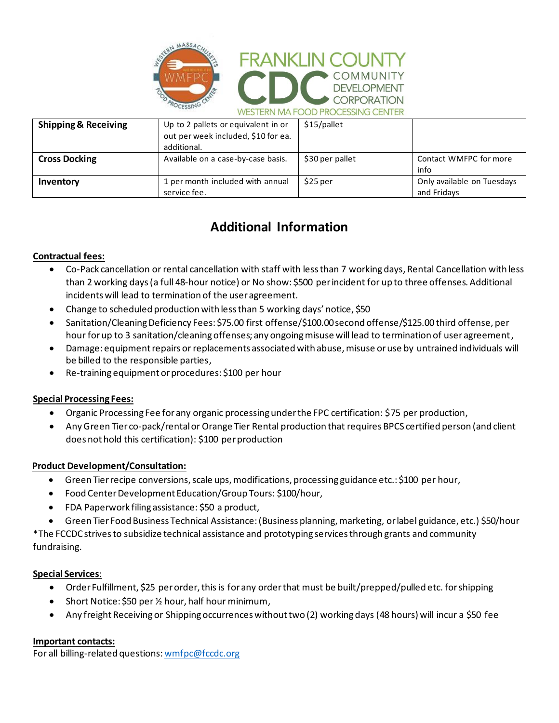



| <b>Shipping &amp; Receiving</b> | Up to 2 pallets or equivalent in or<br>out per week included, \$10 for ea.<br>additional. | \$15/pallet     |                                           |
|---------------------------------|-------------------------------------------------------------------------------------------|-----------------|-------------------------------------------|
| <b>Cross Docking</b>            | Available on a case-by-case basis.                                                        | \$30 per pallet | Contact WMFPC for more<br>info            |
| Inventory                       | 1 per month included with annual<br>service fee.                                          | \$25 per        | Only available on Tuesdays<br>and Fridays |

# **Additional Information**

## **Contractual fees:**

- Co-Pack cancellation or rental cancellation with staff with less than 7 working days, Rental Cancellation with less than 2 working days (a full 48-hour notice) or No show: \$500 per incident for up to three offenses. Additional incidents will lead to termination of the user agreement.
- Change to scheduled production with less than 5 working days' notice, \$50
- Sanitation/Cleaning Deficiency Fees: \$75.00 first offense/\$100.00 second offense/\$125.00 third offense, per hour for up to 3 sanitation/cleaning offenses; any ongoing misuse will lead to termination of user agreement,
- Damage: equipment repairs or replacements associated with abuse, misuse or use by untrained individuals will be billed to the responsible parties,
- Re-training equipment or procedures: \$100 per hour

### **Special Processing Fees:**

- Organic Processing Fee for any organic processing under the FPC certification: \$75 per production,
- Any Green Tier co-pack/rental or Orange Tier Rental production that requires BPCS certified person (and client does not hold this certification): \$100 per production

## **Product Development/Consultation:**

- Green Tier recipe conversions, scale ups, modifications, processing guidance etc.: \$100 per hour,
- Food Center Development Education/Group Tours: \$100/hour,
- FDA Paperwork filing assistance: \$50 a product,
- Green Tier Food Business Technical Assistance: (Business planning, marketing, orlabel guidance, etc.) \$50/hour

\*The FCCDC strives to subsidize technical assistance and prototyping services through grants and community fundraising.

### **Special Services**:

- Order Fulfillment, \$25 per order, this is for any order that must be built/prepped/pulled etc. for shipping
- Short Notice: \$50 per 1/2 hour, half hour minimum,
- Any freight Receiving or Shipping occurrences without two (2) working days (48 hours) will incur a \$50 fee

### **Important contacts:**

For all billing-related questions: wmfpc@fccdc.org